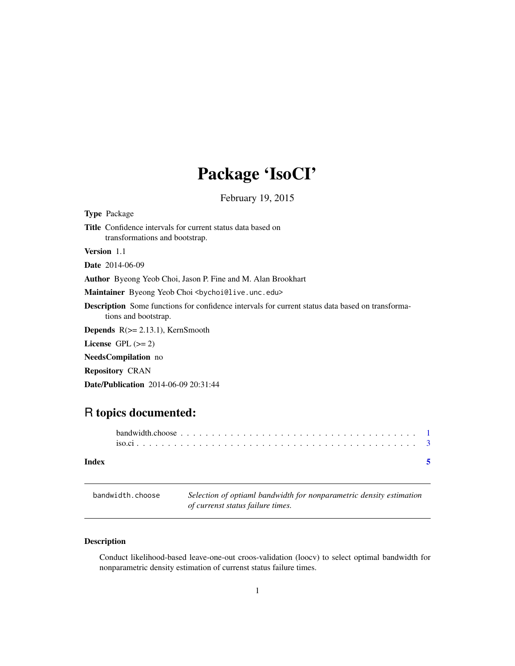## Package 'IsoCI'

February 19, 2015

<span id="page-0-0"></span>

| <b>Type Package</b>                                                                                                             |  |  |  |  |  |  |
|---------------------------------------------------------------------------------------------------------------------------------|--|--|--|--|--|--|
| <b>Title</b> Confidence intervals for current status data based on<br>transformations and bootstrap.                            |  |  |  |  |  |  |
| <b>Version</b> 1.1                                                                                                              |  |  |  |  |  |  |
| <b>Date</b> 2014-06-09                                                                                                          |  |  |  |  |  |  |
| <b>Author</b> Byeong Yeob Choi, Jason P. Fine and M. Alan Brookhart                                                             |  |  |  |  |  |  |
| Maintainer Byeong Yeob Choi<br><br>bychoi@live.unc.edu>                                                                         |  |  |  |  |  |  |
| <b>Description</b> Some functions for confidence intervals for current status data based on transforma-<br>tions and bootstrap. |  |  |  |  |  |  |
| <b>Depends</b> $R$ ( $>= 2.13.1$ ), KernSmooth                                                                                  |  |  |  |  |  |  |
| License $GPL \, (= 2)$                                                                                                          |  |  |  |  |  |  |
| <b>NeedsCompilation</b> no                                                                                                      |  |  |  |  |  |  |
| <b>Repository CRAN</b>                                                                                                          |  |  |  |  |  |  |

Date/Publication 2014-06-09 20:31:44

### R topics documented:

| Index |  |  |  |  |  |  |  |  |  |  |  |  |  |  |  |  |  |
|-------|--|--|--|--|--|--|--|--|--|--|--|--|--|--|--|--|--|

<span id="page-0-1"></span>

| bandwidth.choose | Selection of optiaml bandwidth for nonparametric density estimation |
|------------------|---------------------------------------------------------------------|
|                  | of currenst status failure times.                                   |

### Description

Conduct likelihood-based leave-one-out croos-validation (loocv) to select optimal bandwidth for nonparametric density estimation of currenst status failure times.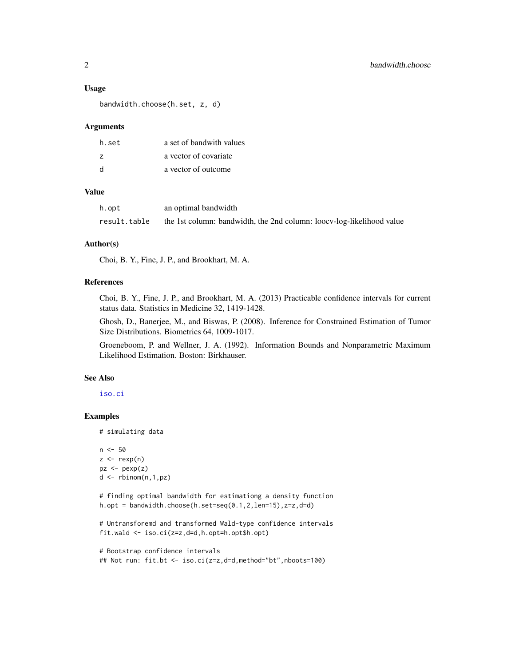#### <span id="page-1-0"></span>Usage

bandwidth.choose(h.set, z, d)

#### **Arguments**

| h.set          | a set of bandwith values |
|----------------|--------------------------|
| $\overline{z}$ | a vector of covariate    |
| <sub>d</sub>   | a vector of outcome      |

#### Value

| h.opt        | an optimal bandwidth                                                  |
|--------------|-----------------------------------------------------------------------|
| result.table | the 1st column: bandwidth, the 2nd column: loocv-log-likelihood value |

#### Author(s)

Choi, B. Y., Fine, J. P., and Brookhart, M. A.

#### References

Choi, B. Y., Fine, J. P., and Brookhart, M. A. (2013) Practicable confidence intervals for current status data. Statistics in Medicine 32, 1419-1428.

Ghosh, D., Banerjee, M., and Biswas, P. (2008). Inference for Constrained Estimation of Tumor Size Distributions. Biometrics 64, 1009-1017.

Groeneboom, P. and Wellner, J. A. (1992). Information Bounds and Nonparametric Maximum Likelihood Estimation. Boston: Birkhauser.

#### See Also

[iso.ci](#page-2-1)

#### Examples

```
# simulating data
```

```
n <- 50
z \leq - rexp(n)
pz <- pexp(z)d \leftarrow \text{rbinom}(n,1,pz)
```
# finding optimal bandwidth for estimationg a density function h.opt = bandwidth.choose(h.set=seq(0.1,2,len=15),z=z,d=d)

```
# Untransforemd and transformed Wald-type confidence intervals
fit.wald <- iso.ci(z=z,d=d,h.opt=h.opt$h.opt)
```

```
# Bootstrap confidence intervals
## Not run: fit.bt <- iso.ci(z=z,d=d,method="bt",nboots=100)
```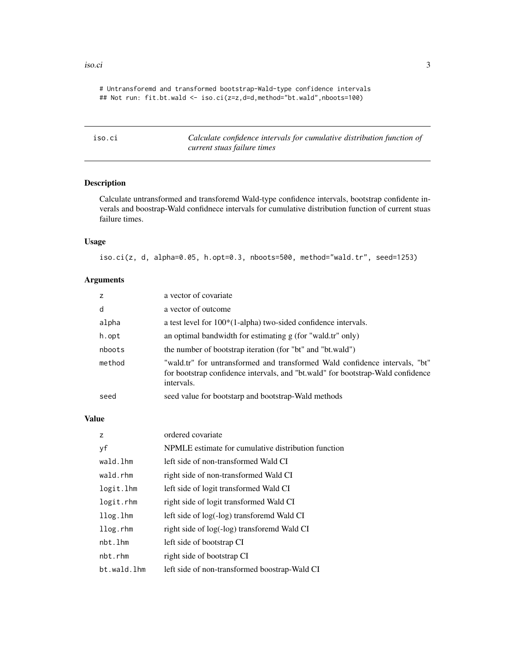#### <span id="page-2-0"></span>iso.ci 3

# Untransforemd and transformed bootstrap-Wald-type confidence intervals ## Not run: fit.bt.wald <- iso.ci(z=z,d=d,method="bt.wald",nboots=100)

<span id="page-2-1"></span>

| iso.ci | Calculate confidence intervals for cumulative distribution function of |
|--------|------------------------------------------------------------------------|
|        | current stuas failure times                                            |

#### Description

Calculate untransformed and transforemd Wald-type confidence intervals, bootstrap confidente inverals and boostrap-Wald confidnece intervals for cumulative distribution function of current stuas failure times.

#### Usage

iso.ci(z, d, alpha=0.05, h.opt=0.3, nboots=500, method="wald.tr", seed=1253)

#### Arguments

| Z      | a vector of covariate                                                                                                                                                        |
|--------|------------------------------------------------------------------------------------------------------------------------------------------------------------------------------|
| d      | a vector of outcome                                                                                                                                                          |
| alpha  | a test level for $100*(1\text{-alpha})$ two-sided confidence intervals.                                                                                                      |
| h.opt  | an optimal bandwidth for estimating $g$ (for "wald.tr" only)                                                                                                                 |
| nboots | the number of bootstrap iteration (for "bt" and "bt.wald")                                                                                                                   |
| method | "wald.tr" for untransformed and transformed Wald confidence intervals, "bt"<br>for bootstrap confidence intervals, and "bt.wald" for bootstrap-Wald confidence<br>intervals. |
| seed   | seed value for bootstarp and bootstrap-Wald methods                                                                                                                          |

#### Value

| z           | ordered covariate                                   |
|-------------|-----------------------------------------------------|
| уf          | NPMLE estimate for cumulative distribution function |
| wald.lhm    | left side of non-transformed Wald CI                |
| wald.rhm    | right side of non-transformed Wald CI               |
| logit.lhm   | left side of logit transformed Wald CI              |
| logit.rhm   | right side of logit transformed Wald CI             |
| llog.lhm    | left side of log(-log) transforemd Wald CI          |
| $llog.r$ hm | right side of log(-log) transforemd Wald CI         |
| nbt.lhm     | left side of bootstrap CI                           |
| nbt.rhm     | right side of bootstrap CI                          |
| bt.wald.lhm | left side of non-transformed boostrap-Wald CI       |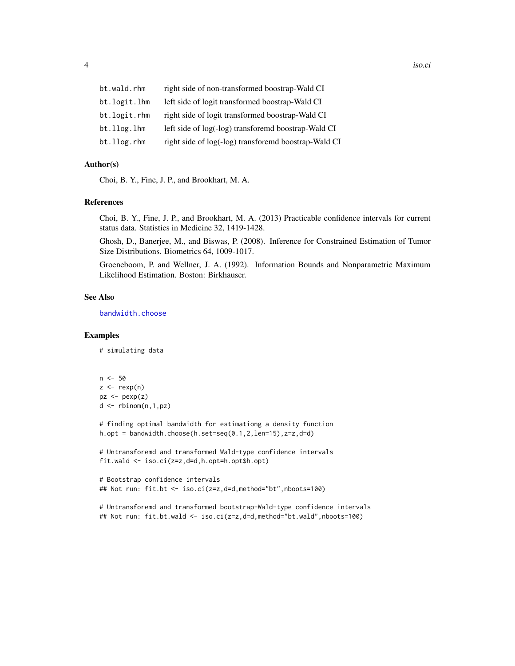<span id="page-3-0"></span>

| right side of non-transformed boostrap-Wald CI       |
|------------------------------------------------------|
| left side of logit transformed boostrap-Wald CI      |
| right side of logit transformed boostrap-Wald CI     |
| left side of log(-log) transforemd boostrap-Wald CI  |
| right side of log(-log) transforemd boostrap-Wald CI |
|                                                      |

#### Author(s)

Choi, B. Y., Fine, J. P., and Brookhart, M. A.

#### References

Choi, B. Y., Fine, J. P., and Brookhart, M. A. (2013) Practicable confidence intervals for current status data. Statistics in Medicine 32, 1419-1428.

Ghosh, D., Banerjee, M., and Biswas, P. (2008). Inference for Constrained Estimation of Tumor Size Distributions. Biometrics 64, 1009-1017.

Groeneboom, P. and Wellner, J. A. (1992). Information Bounds and Nonparametric Maximum Likelihood Estimation. Boston: Birkhauser.

#### See Also

[bandwidth.choose](#page-0-1)

#### Examples

```
# simulating data
```

```
n < -50z \leq - rexp(n)
pz <- pexp(z)
d \leq -rbinom(n,1,pz)
```
# finding optimal bandwidth for estimationg a density function h.opt = bandwidth.choose(h.set=seq(0.1,2,len=15),z=z,d=d)

```
# Untransforemd and transformed Wald-type confidence intervals
fit.wald <- iso.ci(z=z,d=d,h.opt=h.opt$h.opt)
```

```
# Bootstrap confidence intervals
## Not run: fit.bt <- iso.ci(z=z,d=d,method="bt",nboots=100)
```
# Untransforemd and transformed bootstrap-Wald-type confidence intervals ## Not run: fit.bt.wald <- iso.ci(z=z,d=d,method="bt.wald",nboots=100)